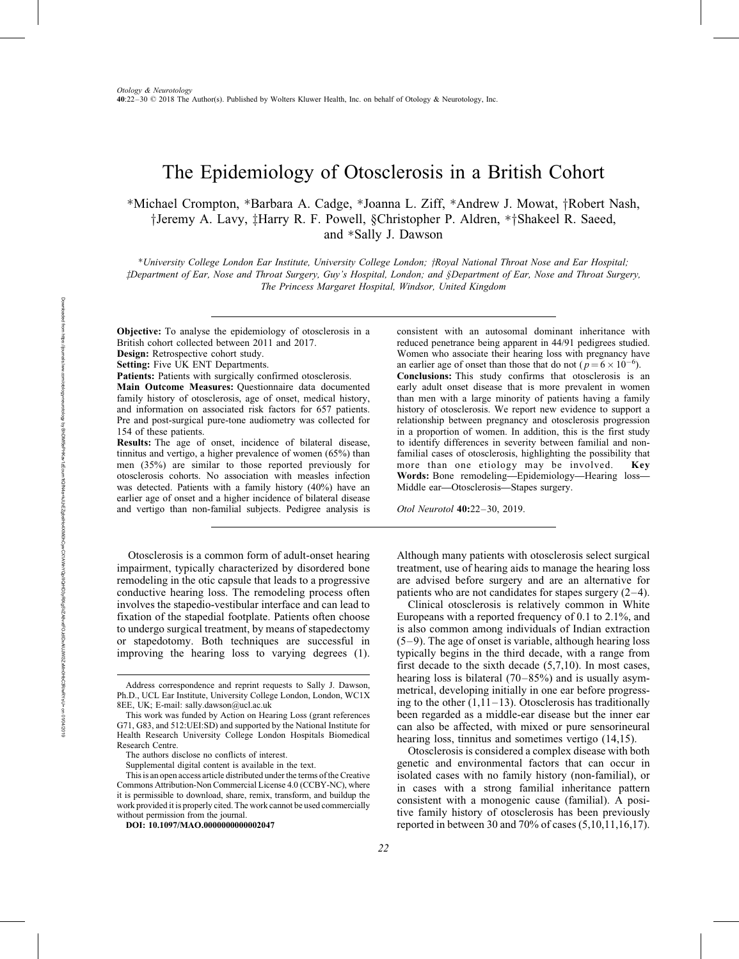# The Epidemiology of Otosclerosis in a British Cohort

\*Michael Crompton, \*Barbara A. Cadge, \*Joanna L. Ziff, \*Andrew J. Mowat, †Robert Nash, <sup>†</sup>Jeremy A. Lavy, ‡Harry R. F. Powell, §Christopher P. Aldren, \*†Shakeel R. Saeed, and \*Sally J. Dawson

\*University College London Ear Institute, University College London; †Royal National Throat Nose and Ear Hospital; zDepartment of Ear, Nose and Throat Surgery, Guy's Hospital, London; and §Department of Ear, Nose and Throat Surgery, The Princess Margaret Hospital, Windsor, United Kingdom

Objective: To analyse the epidemiology of otosclerosis in a British cohort collected between 2011 and 2017. Design: Retrospective cohort study.

Setting: Five UK ENT Departments.

Patients: Patients with surgically confirmed otosclerosis.

Main Outcome Measures: Questionnaire data documented family history of otosclerosis, age of onset, medical history, and information on associated risk factors for 657 patients. Pre and post-surgical pure-tone audiometry was collected for 154 of these patients.

Results: The age of onset, incidence of bilateral disease, tinnitus and vertigo, a higher prevalence of women (65%) than men (35%) are similar to those reported previously for otosclerosis cohorts. No association with measles infection was detected. Patients with a family history (40%) have an earlier age of onset and a higher incidence of bilateral disease and vertigo than non-familial subjects. Pedigree analysis is

Otosclerosis is a common form of adult-onset hearing impairment, typically characterized by disordered bone remodeling in the otic capsule that leads to a progressive conductive hearing loss. The remodeling process often involves the stapedio-vestibular interface and can lead to fixation of the stapedial footplate. Patients often choose to undergo surgical treatment, by means of stapedectomy or stapedotomy. Both techniques are successful in improving the hearing loss to varying degrees (1).

consistent with an autosomal dominant inheritance with reduced penetrance being apparent in 44/91 pedigrees studied. Women who associate their hearing loss with pregnancy have an earlier age of onset than those that do not  $(p=6 \times 10^{-6})$ . Conclusions: This study confirms that otosclerosis is an early adult onset disease that is more prevalent in women than men with a large minority of patients having a family history of otosclerosis. We report new evidence to support a relationship between pregnancy and otosclerosis progression in a proportion of women. In addition, this is the first study to identify differences in severity between familial and nonfamilial cases of otosclerosis, highlighting the possibility that more than one etiology may be involved. Key Words: Bone remodeling—Epidemiology—Hearing loss— Middle ear—Otosclerosis—Stapes surgery.

Otol Neurotol 40:22–30, 2019.

Although many patients with otosclerosis select surgical treatment, use of hearing aids to manage the hearing loss are advised before surgery and are an alternative for patients who are not candidates for stapes surgery (2–4).

Clinical otosclerosis is relatively common in White Europeans with a reported frequency of 0.1 to 2.1%, and is also common among individuals of Indian extraction (5–9). The age of onset is variable, although hearing loss typically begins in the third decade, with a range from first decade to the sixth decade (5,7,10). In most cases, hearing loss is bilateral (70–85%) and is usually asymmetrical, developing initially in one ear before progressing to the other  $(1,11-13)$ . Otosclerosis has traditionally been regarded as a middle-ear disease but the inner ear can also be affected, with mixed or pure sensorineural hearing loss, tinnitus and sometimes vertigo (14,15).

Otosclerosis is considered a complex disease with both genetic and environmental factors that can occur in isolated cases with no family history (non-familial), or in cases with a strong familial inheritance pattern consistent with a monogenic cause (familial). A positive family history of otosclerosis has been previously reported in between 30 and 70% of cases (5,10,11,16,17).

Address correspondence and reprint requests to Sally J. Dawson, Ph.D., UCL Ear Institute, University College London, London, WC1X 8EE, UK; E-mail: sally.dawson@ucl.ac.uk

This work was funded by Action on Hearing Loss (grant references G71, G83, and 512:UEI:SD) and supported by the National Institute for Health Research University College London Hospitals Biomedical Research Centre.

The authors disclose no conflicts of interest.

Supplemental digital content is available in the text.

This is an open access article distributed under the terms of the Creative Commons Attribution-Non Commercial License 4.0 (CCBY-NC), where it is permissible to download, share, remix, transform, and buildup the work provided it is properly cited. The work cannot be used commercially without permission from the journal.

DOI: 10.1097/MAO.0000000000002047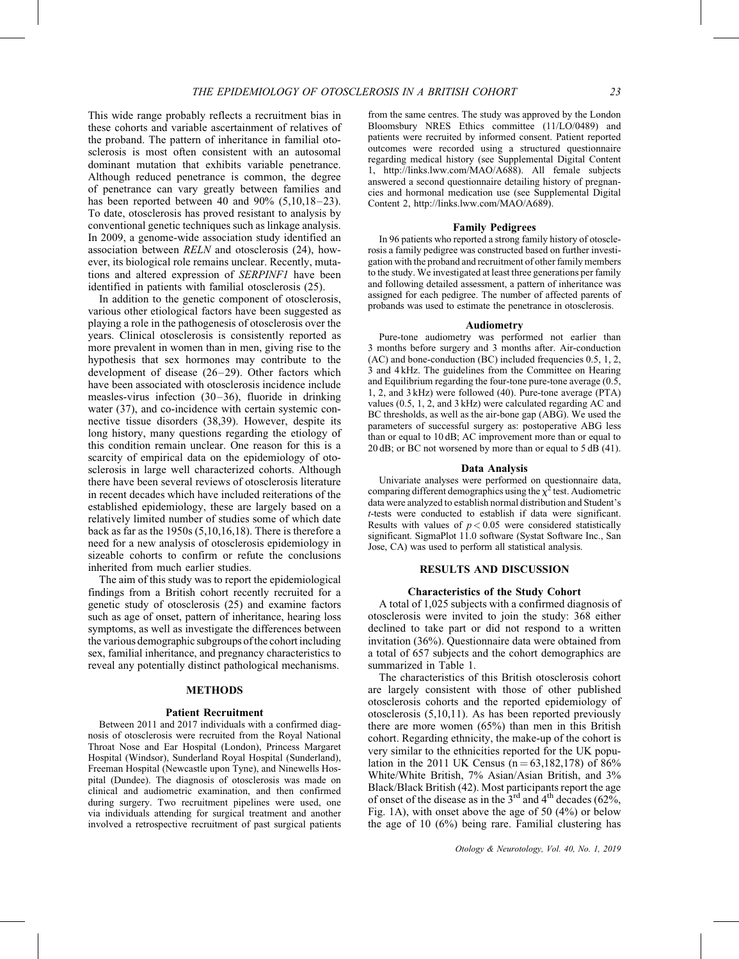This wide range probably reflects a recruitment bias in these cohorts and variable ascertainment of relatives of the proband. The pattern of inheritance in familial otosclerosis is most often consistent with an autosomal dominant mutation that exhibits variable penetrance. Although reduced penetrance is common, the degree of penetrance can vary greatly between families and has been reported between 40 and 90% (5,10,18–23). To date, otosclerosis has proved resistant to analysis by conventional genetic techniques such as linkage analysis. In 2009, a genome-wide association study identified an association between RELN and otosclerosis (24), however, its biological role remains unclear. Recently, mutations and altered expression of SERPINF1 have been identified in patients with familial otosclerosis (25).

In addition to the genetic component of otosclerosis, various other etiological factors have been suggested as playing a role in the pathogenesis of otosclerosis over the years. Clinical otosclerosis is consistently reported as more prevalent in women than in men, giving rise to the hypothesis that sex hormones may contribute to the development of disease (26–29). Other factors which have been associated with otosclerosis incidence include measles-virus infection (30–36), fluoride in drinking water (37), and co-incidence with certain systemic connective tissue disorders (38,39). However, despite its long history, many questions regarding the etiology of this condition remain unclear. One reason for this is a scarcity of empirical data on the epidemiology of otosclerosis in large well characterized cohorts. Although there have been several reviews of otosclerosis literature in recent decades which have included reiterations of the established epidemiology, these are largely based on a relatively limited number of studies some of which date back as far as the 1950s (5,10,16,18). There is therefore a need for a new analysis of otosclerosis epidemiology in sizeable cohorts to confirm or refute the conclusions inherited from much earlier studies.

The aim of this study was to report the epidemiological findings from a British cohort recently recruited for a genetic study of otosclerosis (25) and examine factors such as age of onset, pattern of inheritance, hearing loss symptoms, as well as investigate the differences between the various demographic subgroups ofthe cohort including sex, familial inheritance, and pregnancy characteristics to reveal any potentially distinct pathological mechanisms.

#### METHODS

#### Patient Recruitment

Between 2011 and 2017 individuals with a confirmed diagnosis of otosclerosis were recruited from the Royal National Throat Nose and Ear Hospital (London), Princess Margaret Hospital (Windsor), Sunderland Royal Hospital (Sunderland), Freeman Hospital (Newcastle upon Tyne), and Ninewells Hospital (Dundee). The diagnosis of otosclerosis was made on clinical and audiometric examination, and then confirmed during surgery. Two recruitment pipelines were used, one via individuals attending for surgical treatment and another involved a retrospective recruitment of past surgical patients from the same centres. The study was approved by the London Bloomsbury NRES Ethics committee (11/LO/0489) and patients were recruited by informed consent. Patient reported outcomes were recorded using a structured questionnaire regarding medical history (see Supplemental Digital Content 1, [http://links.lww.com/MAO/A688\)](http://links.lww.com/MAO/A688). All female subjects answered a second questionnaire detailing history of pregnancies and hormonal medication use (see Supplemental Digital Content 2,<http://links.lww.com/MAO/A689>).

#### Family Pedigrees

In 96 patients who reported a strong family history of otosclerosis a family pedigree was constructed based on further investigation with the proband and recruitment of other family members to the study. We investigated at least three generations per family and following detailed assessment, a pattern of inheritance was assigned for each pedigree. The number of affected parents of probands was used to estimate the penetrance in otosclerosis.

#### Audiometry

Pure-tone audiometry was performed not earlier than 3 months before surgery and 3 months after. Air-conduction (AC) and bone-conduction (BC) included frequencies 0.5, 1, 2, 3 and 4 kHz. The guidelines from the Committee on Hearing and Equilibrium regarding the four-tone pure-tone average (0.5, 1, 2, and 3 kHz) were followed (40). Pure-tone average (PTA) values (0.5, 1, 2, and 3 kHz) were calculated regarding AC and BC thresholds, as well as the air-bone gap (ABG). We used the parameters of successful surgery as: postoperative ABG less than or equal to 10 dB; AC improvement more than or equal to 20 dB; or BC not worsened by more than or equal to  $5$  dB (41).

#### Data Analysis

Univariate analyses were performed on questionnaire data, comparing different demographics using the  $\chi^2$  test. Audiometric data were analyzed to establish normal distribution and Student's t-tests were conducted to establish if data were significant. Results with values of  $p < 0.05$  were considered statistically significant. SigmaPlot 11.0 software (Systat Software Inc., San Jose, CA) was used to perform all statistical analysis.

## RESULTS AND DISCUSSION

#### Characteristics of the Study Cohort

A total of 1,025 subjects with a confirmed diagnosis of otosclerosis were invited to join the study: 368 either declined to take part or did not respond to a written invitation (36%). Questionnaire data were obtained from a total of 657 subjects and the cohort demographics are summarized in Table 1.

The characteristics of this British otosclerosis cohort are largely consistent with those of other published otosclerosis cohorts and the reported epidemiology of otosclerosis (5,10,11). As has been reported previously there are more women (65%) than men in this British cohort. Regarding ethnicity, the make-up of the cohort is very similar to the ethnicities reported for the UK population in the 2011 UK Census ( $n = 63,182,178$ ) of 86% White/White British, 7% Asian/Asian British, and 3% Black/Black British (42). Most participants report the age of onset of the disease as in the  $3<sup>rd</sup>$  and  $4<sup>th</sup>$  decades (62%, Fig. 1A), with onset above the age of 50 (4%) or below the age of 10 (6%) being rare. Familial clustering has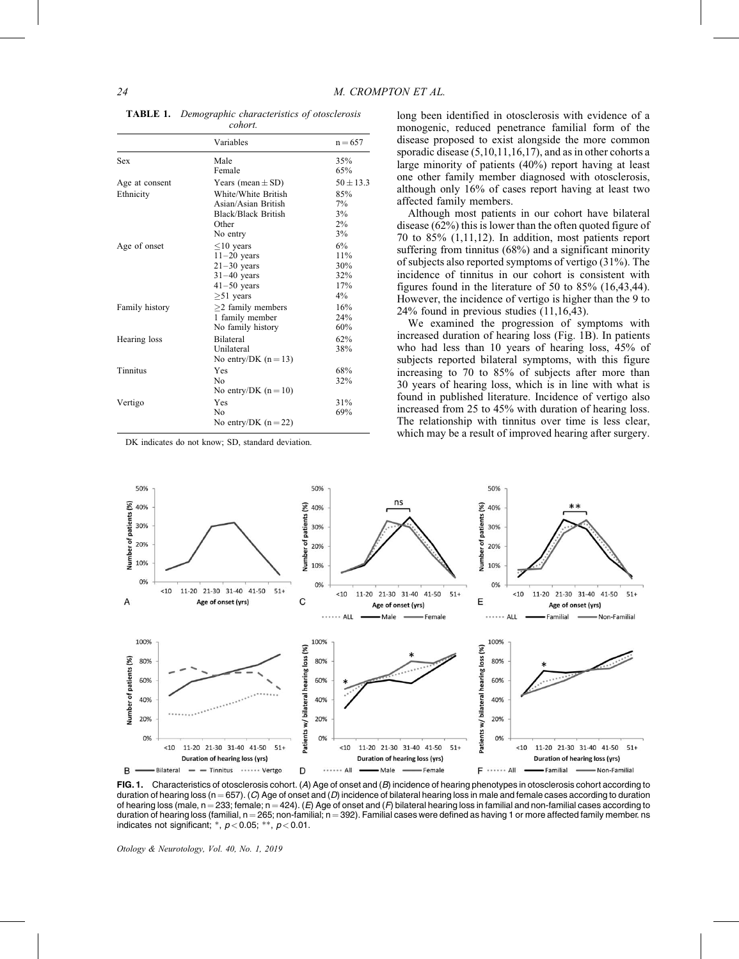|                | Variables               | $n = 657$   |
|----------------|-------------------------|-------------|
| Sex            | Male                    | 35%         |
|                | Female                  | 65%         |
| Age at consent | Years (mean $\pm$ SD)   | $50 + 13.3$ |
| Ethnicity      | White/White British     | 85%         |
|                | Asian/Asian British     | $7\%$       |
|                | Black/Black British     | 3%          |
|                | Other                   | 2%          |
|                | No entry                | 3%          |
| Age of onset   | $\leq$ 10 years         | 6%          |
|                | $11-20$ years           | 11%         |
|                | $21 - 30$ years         | 30%         |
|                | $31-40$ years           | 32%         |
|                | $41-50$ years           | 17%         |
|                | $>51$ years             | $4\%$       |
| Family history | $\geq$ 2 family members | 16%         |
|                | 1 family member         | 24%         |
|                | No family history       | 60%         |
| Hearing loss   | <b>Bilateral</b>        | 62%         |
|                | <b>Unilateral</b>       | 38%         |
|                | No entry/DK $(n=13)$    |             |
| Tinnitus       | Yes                     | 68%         |
|                | N <sub>0</sub>          | 32%         |
|                | No entry/DK $(n = 10)$  |             |
| Vertigo        | Yes                     | 31%         |
|                | No                      | 69%         |
|                | No entry/DK $(n=22)$    |             |

TABLE 1. Demographic characteristics of otosclerosis cohort.

DK indicates do not know; SD, standard deviation.

long been identified in otosclerosis with evidence of a monogenic, reduced penetrance familial form of the disease proposed to exist alongside the more common sporadic disease  $(5,10,11,16,17)$ , and as in other cohorts a large minority of patients (40%) report having at least one other family member diagnosed with otosclerosis, although only 16% of cases report having at least two affected family members.

Although most patients in our cohort have bilateral disease (62%) this is lower than the often quoted figure of 70 to 85% (1,11,12). In addition, most patients report suffering from tinnitus (68%) and a significant minority of subjects also reported symptoms of vertigo (31%). The incidence of tinnitus in our cohort is consistent with figures found in the literature of 50 to 85% (16,43,44). However, the incidence of vertigo is higher than the 9 to 24% found in previous studies (11,16,43).

We examined the progression of symptoms with increased duration of hearing loss (Fig. 1B). In patients who had less than 10 years of hearing loss, 45% of subjects reported bilateral symptoms, with this figure increasing to 70 to 85% of subjects after more than 30 years of hearing loss, which is in line with what is found in published literature. Incidence of vertigo also increased from 25 to 45% with duration of hearing loss. The relationship with tinnitus over time is less clear, which may be a result of improved hearing after surgery.



FIG. 1. Characteristics of otosclerosis cohort. (A) Age of onset and (B) incidence of hearing phenotypes in otosclerosis cohort according to duration of hearing loss (n = 657). (C) Age of onset and (D) incidence of bilateral hearing loss in male and female cases according to duration of hearing loss (male,  $n = 233$ ; female;  $n = 424$ ). (E) Age of onset and (F) bilateral hearing loss in familial and non-familial cases according to duration of hearing loss (familial,  $n = 265$ ; non-familial;  $n = 392$ ). Familial cases were defined as having 1 or more affected family member. ns indicates not significant;  $*$ ,  $p$  < 0.05;  $**$ ,  $p$  < 0.01.

Otology & Neurotology, Vol. 40, No. 1, 2019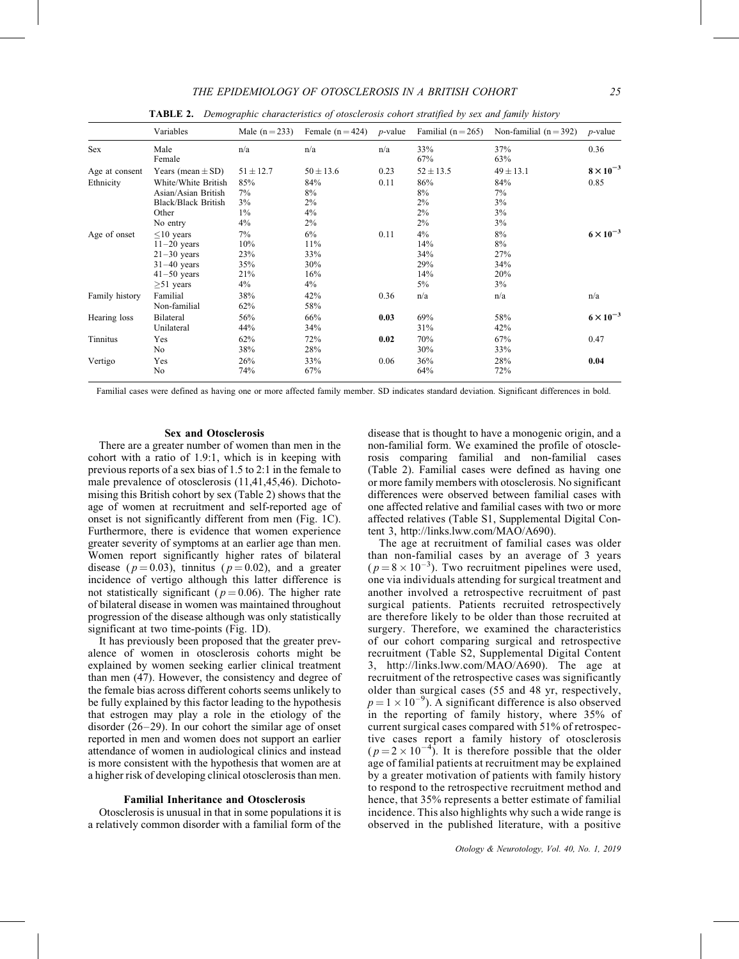|                | Variables                                                                                              | Male $(n=233)$                       | Female $(n=424)$                        | $p$ -value | Familial $(n=265)$                         | Non-familial $(n=392)$                 | $p$ -value         |
|----------------|--------------------------------------------------------------------------------------------------------|--------------------------------------|-----------------------------------------|------------|--------------------------------------------|----------------------------------------|--------------------|
| Sex            | Male<br>Female                                                                                         | n/a                                  | n/a                                     | n/a        | 33%<br>67%                                 | 37%<br>63%                             | 0.36               |
| Age at consent | Years (mean $\pm$ SD)                                                                                  | $51 \pm 12.7$                        | $50 \pm 13.6$                           | 0.23       | $52 \pm 13.5$                              | $49 \pm 13.1$                          | $8 \times 10^{-3}$ |
| Ethnicity      | White/White British<br>Asian/Asian British<br><b>Black/Black British</b><br>Other<br>No entry          | 85%<br>7%<br>3%<br>$1\%$<br>4%       | 84%<br>8%<br>$2\%$<br>4%<br>$2\%$       | 0.11       | 86%<br>8%<br>2%<br>$2\%$<br>2%             | 84%<br>7%<br>3%<br>3%<br>3%            | 0.85               |
| Age of onset   | $\leq$ 10 years<br>$11-20$ years<br>$21-30$ years<br>$31-40$ years<br>$41-50$ years<br>$\geq 51$ years | 7%<br>10%<br>23%<br>35%<br>21%<br>4% | 6%<br>11%<br>33%<br>30%<br>16%<br>$4\%$ | 0.11       | $4\%$<br>14%<br>34%<br>29%<br>14%<br>$5\%$ | 8%<br>8%<br>27%<br>34%<br>20%<br>$3\%$ | $6 \times 10^{-3}$ |
| Family history | Familial<br>Non-familial                                                                               | 38%<br>62%                           | 42%<br>58%                              | 0.36       | n/a                                        | n/a                                    | n/a                |
| Hearing loss   | Bilateral<br>Unilateral                                                                                | 56%<br>44%                           | 66%<br>34%                              | 0.03       | 69%<br>31%                                 | 58%<br>42%                             | $6 \times 10^{-3}$ |
| Tinnitus       | Yes<br>No                                                                                              | 62%<br>38%                           | 72%<br>28%                              | 0.02       | 70%<br>30%                                 | 67%<br>33%                             | 0.47               |
| Vertigo        | Yes<br>No                                                                                              | 26%<br>74%                           | 33%<br>67%                              | 0.06       | 36%<br>64%                                 | 28%<br>72%                             | 0.04               |

**TABLE 2.** Demographic characteristics of otosclerosis cohort stratified by sex and family history

Familial cases were defined as having one or more affected family member. SD indicates standard deviation. Significant differences in bold.

## Sex and Otosclerosis

There are a greater number of women than men in the cohort with a ratio of 1.9:1, which is in keeping with previous reports of a sex bias of 1.5 to 2:1 in the female to male prevalence of otosclerosis (11,41,45,46). Dichotomising this British cohort by sex (Table 2) shows that the age of women at recruitment and self-reported age of onset is not significantly different from men (Fig. 1C). Furthermore, there is evidence that women experience greater severity of symptoms at an earlier age than men. Women report significantly higher rates of bilateral disease ( $p = 0.03$ ), tinnitus ( $p = 0.02$ ), and a greater incidence of vertigo although this latter difference is not statistically significant ( $p = 0.06$ ). The higher rate of bilateral disease in women was maintained throughout progression of the disease although was only statistically significant at two time-points (Fig. 1D).

It has previously been proposed that the greater prevalence of women in otosclerosis cohorts might be explained by women seeking earlier clinical treatment than men (47). However, the consistency and degree of the female bias across different cohorts seems unlikely to be fully explained by this factor leading to the hypothesis that estrogen may play a role in the etiology of the disorder (26–29). In our cohort the similar age of onset reported in men and women does not support an earlier attendance of women in audiological clinics and instead is more consistent with the hypothesis that women are at a higher risk of developing clinical otosclerosis than men.

# Familial Inheritance and Otosclerosis

Otosclerosis is unusual in that in some populations it is a relatively common disorder with a familial form of the

disease that is thought to have a monogenic origin, and a non-familial form. We examined the profile of otosclerosis comparing familial and non-familial cases (Table 2). Familial cases were defined as having one or more family members with otosclerosis. No significant differences were observed between familial cases with one affected relative and familial cases with two or more affected relatives (Table S1, Supplemental Digital Content 3, [http://links.lww.com/MAO/A690\)](http://links.lww.com/MAO/A690).

The age at recruitment of familial cases was older than non-familial cases by an average of 3 years  $(p=8\times10^{-3})$ . Two recruitment pipelines were used, one via individuals attending for surgical treatment and another involved a retrospective recruitment of past surgical patients. Patients recruited retrospectively are therefore likely to be older than those recruited at surgery. Therefore, we examined the characteristics of our cohort comparing surgical and retrospective recruitment (Table S2, Supplemental Digital Content 3,<http://links.lww.com/MAO/A690>). The age at recruitment of the retrospective cases was significantly older than surgical cases (55 and 48 yr, respectively,  $p = 1 \times 10^{-9}$ ). A significant difference is also observed in the reporting of family history, where 35% of current surgical cases compared with 51% of retrospective cases report a family history of otosclerosis  $(p=2\times10^{-4})$ . It is therefore possible that the older age of familial patients at recruitment may be explained by a greater motivation of patients with family history to respond to the retrospective recruitment method and hence, that 35% represents a better estimate of familial incidence. This also highlights why such a wide range is observed in the published literature, with a positive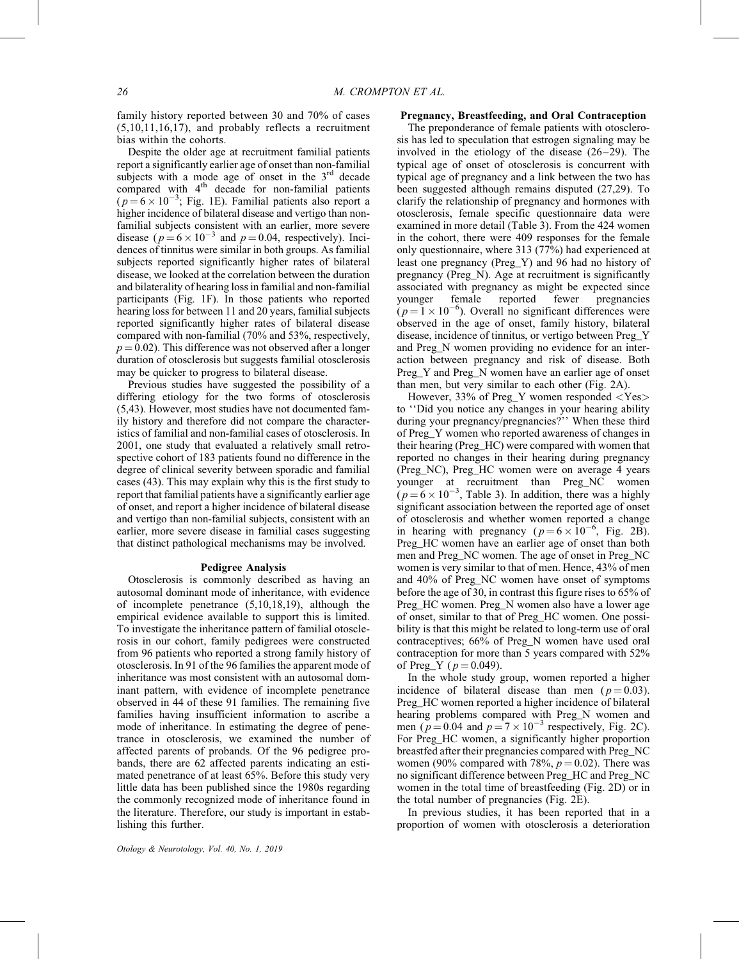family history reported between 30 and 70% of cases (5,10,11,16,17), and probably reflects a recruitment bias within the cohorts.

Despite the older age at recruitment familial patients report a significantly earlier age of onset than non-familial subjects with a mode age of onset in the  $3<sup>rd</sup>$  decade compared with 4<sup>th</sup> decade for non-familial patients  $(p=6\times10^{-3};$  Fig. 1E). Familial patients also report a higher incidence of bilateral disease and vertigo than nonfamilial subjects consistent with an earlier, more severe disease ( $p = 6 \times 10^{-3}$  and  $p = 0.04$ , respectively). Incidences of tinnitus were similar in both groups. As familial subjects reported significantly higher rates of bilateral disease, we looked at the correlation between the duration and bilaterality of hearing loss in familial and non-familial participants (Fig. 1F). In those patients who reported hearing loss for between 11 and 20 years, familial subjects reported significantly higher rates of bilateral disease compared with non-familial (70% and 53%, respectively,  $p = 0.02$ ). This difference was not observed after a longer duration of otosclerosis but suggests familial otosclerosis may be quicker to progress to bilateral disease.

Previous studies have suggested the possibility of a differing etiology for the two forms of otosclerosis (5,43). However, most studies have not documented family history and therefore did not compare the characteristics of familial and non-familial cases of otosclerosis. In 2001, one study that evaluated a relatively small retrospective cohort of 183 patients found no difference in the degree of clinical severity between sporadic and familial cases (43). This may explain why this is the first study to report that familial patients have a significantly earlier age of onset, and report a higher incidence of bilateral disease and vertigo than non-familial subjects, consistent with an earlier, more severe disease in familial cases suggesting that distinct pathological mechanisms may be involved.

#### Pedigree Analysis

Otosclerosis is commonly described as having an autosomal dominant mode of inheritance, with evidence of incomplete penetrance (5,10,18,19), although the empirical evidence available to support this is limited. To investigate the inheritance pattern of familial otosclerosis in our cohort, family pedigrees were constructed from 96 patients who reported a strong family history of otosclerosis. In 91 of the 96 families the apparent mode of inheritance was most consistent with an autosomal dominant pattern, with evidence of incomplete penetrance observed in 44 of these 91 families. The remaining five families having insufficient information to ascribe a mode of inheritance. In estimating the degree of penetrance in otosclerosis, we examined the number of affected parents of probands. Of the 96 pedigree probands, there are 62 affected parents indicating an estimated penetrance of at least 65%. Before this study very little data has been published since the 1980s regarding the commonly recognized mode of inheritance found in the literature. Therefore, our study is important in establishing this further.

## Preg\_Y and Preg\_N women have an earlier age of onset

than men, but very similar to each other (Fig. 2A). However, 33% of Preg\_Y women responded <Yes> to ''Did you notice any changes in your hearing ability during your pregnancy/pregnancies?'' When these third of Preg\_Y women who reported awareness of changes in their hearing (Preg\_HC) were compared with women that reported no changes in their hearing during pregnancy (Preg\_NC), Preg\_HC women were on average 4 years younger at recruitment than Preg\_NC women  $(p=6\times10^{-3},$  Table 3). In addition, there was a highly significant association between the reported age of onset of otosclerosis and whether women reported a change in hearing with pregnancy  $(p=6 \times 10^{-6}, \text{ Fig. 2B}).$ Preg\_HC women have an earlier age of onset than both men and Preg\_NC women. The age of onset in Preg\_NC women is very similar to that of men. Hence, 43% of men and 40% of Preg\_NC women have onset of symptoms before the age of 30, in contrast this figure rises to 65% of Preg\_HC women. Preg\_N women also have a lower age of onset, similar to that of Preg\_HC women. One possibility is that this might be related to long-term use of oral contraceptives; 66% of Preg\_N women have used oral contraception for more than 5 years compared with 52% of Preg\_Y ( $p = 0.049$ ).

Pregnancy, Breastfeeding, and Oral Contraception The preponderance of female patients with otosclerosis has led to speculation that estrogen signaling may be involved in the etiology of the disease (26–29). The typical age of onset of otosclerosis is concurrent with typical age of pregnancy and a link between the two has been suggested although remains disputed (27,29). To clarify the relationship of pregnancy and hormones with otosclerosis, female specific questionnaire data were examined in more detail (Table 3). From the 424 women in the cohort, there were 409 responses for the female only questionnaire, where 313 (77%) had experienced at least one pregnancy (Preg\_Y) and 96 had no history of pregnancy (Preg\_N). Age at recruitment is significantly associated with pregnancy as might be expected since younger female reported fewer pregnancies  $(p=1 \times 10^{-6})$ . Overall no significant differences were observed in the age of onset, family history, bilateral disease, incidence of tinnitus, or vertigo between Preg\_Y and Preg\_N women providing no evidence for an interaction between pregnancy and risk of disease. Both

In the whole study group, women reported a higher incidence of bilateral disease than men ( $p = 0.03$ ). Preg\_HC women reported a higher incidence of bilateral hearing problems compared with Preg\_N women and men ( $p = 0.04$  and  $p = 7 \times 10^{-3}$  respectively, Fig. 2C). For Preg\_HC women, a significantly higher proportion breastfed after their pregnancies compared with Preg\_NC women (90% compared with 78%,  $p = 0.02$ ). There was no significant difference between Preg\_HC and Preg\_NC women in the total time of breastfeeding (Fig. 2D) or in the total number of pregnancies (Fig. 2E).

In previous studies, it has been reported that in a proportion of women with otosclerosis a deterioration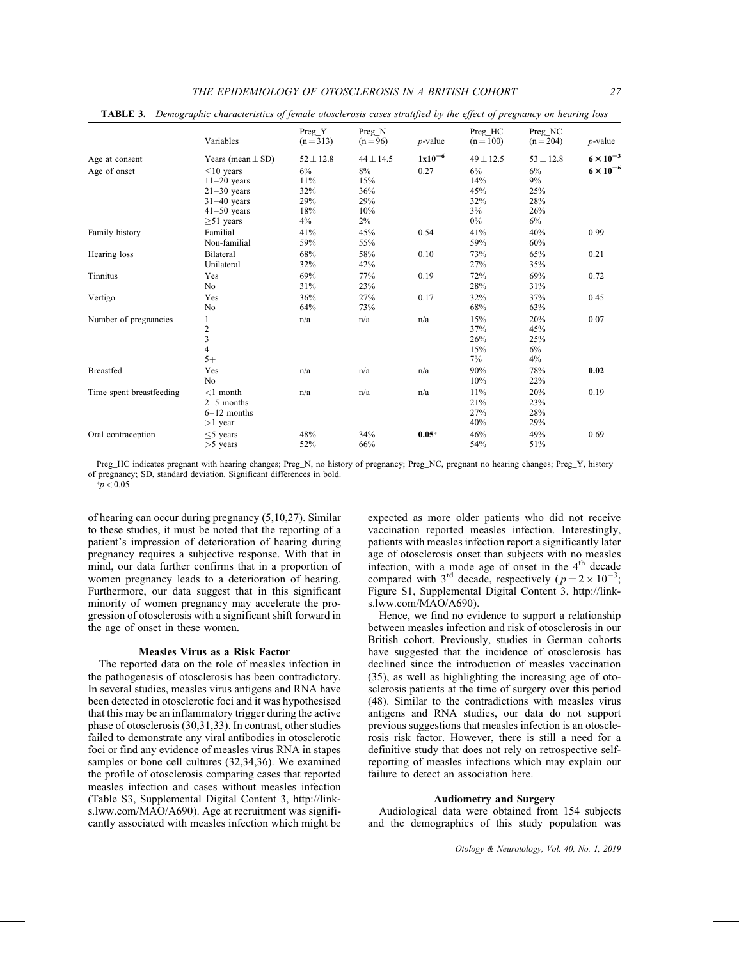|                                | Variables                                                                                                                    | Preg_Y<br>$(n=313)$                                   | $Preg_N$<br>$(n = 96)$                                | $p$ -value          | Preg_HC<br>$(n = 100)$                                  | Preg_NC<br>$(n = 204)$                               | $p$ -value                               |
|--------------------------------|------------------------------------------------------------------------------------------------------------------------------|-------------------------------------------------------|-------------------------------------------------------|---------------------|---------------------------------------------------------|------------------------------------------------------|------------------------------------------|
| Age at consent<br>Age of onset | Years (mean $\pm$ SD)<br>$<$ 10 years<br>$11-20$ years<br>$21-30$ years<br>$31-40$ years<br>$41-50$ years<br>$\geq 51$ years | $52 \pm 12.8$<br>6%<br>11%<br>32%<br>29%<br>18%<br>4% | $44 \pm 14.5$<br>8%<br>15%<br>36%<br>29%<br>10%<br>2% | $1x10^{-6}$<br>0.27 | $49 \pm 12.5$<br>6%<br>14%<br>45%<br>32%<br>3%<br>$0\%$ | $53 \pm 12.8$<br>6%<br>9%<br>25%<br>28%<br>26%<br>6% | $6 \times 10^{-3}$<br>$6 \times 10^{-6}$ |
| Family history                 | Familial<br>Non-familial                                                                                                     | 41%<br>59%                                            | 45%<br>55%                                            | 0.54                | 41%<br>59%                                              | 40%<br>60%                                           | 0.99                                     |
| Hearing loss                   | <b>Bilateral</b><br>Unilateral                                                                                               | 68%<br>32%                                            | 58%<br>42%                                            | 0.10                | 73%<br>27%                                              | 65%<br>35%                                           | 0.21                                     |
| Tinnitus                       | Yes<br>No                                                                                                                    | 69%<br>31%                                            | 77%<br>23%                                            | 0.19                | 72%<br>28%                                              | 69%<br>31%                                           | 0.72                                     |
| Vertigo                        | Yes<br>No                                                                                                                    | 36%<br>64%                                            | 27%<br>73%                                            | 0.17                | 32%<br>68%                                              | 37%<br>63%                                           | 0.45                                     |
| Number of pregnancies          | $\mathbf{1}$<br>$\frac{2}{3}$<br>$\overline{4}$<br>$5+$                                                                      | n/a                                                   | n/a                                                   | n/a                 | 15%<br>37%<br>26%<br>15%<br>$7\%$                       | 20%<br>45%<br>25%<br>6%<br>4%                        | 0.07                                     |
| <b>Breastfed</b>               | Yes<br>N <sub>0</sub>                                                                                                        | n/a                                                   | n/a                                                   | n/a                 | 90%<br>10%                                              | 78%<br>22%                                           | 0.02                                     |
| Time spent breastfeeding       | $<$ 1 month<br>$2-5$ months<br>$6-12$ months<br>$>1$ year                                                                    | n/a                                                   | n/a                                                   | n/a                 | 11%<br>21%<br>27%<br>40%                                | 20%<br>23%<br>28%<br>29%                             | 0.19                                     |
| Oral contraception             | $<$ 5 years<br>$>5$ years                                                                                                    | 48%<br>52%                                            | 34%<br>66%                                            | $0.05*$             | 46%<br>54%                                              | 49%<br>51%                                           | 0.69                                     |

TABLE 3. Demographic characteristics of female otosclerosis cases stratified by the effect of pregnancy on hearing loss

Preg\_HC indicates pregnant with hearing changes; Preg\_N, no history of pregnancy; Preg\_NC, pregnant no hearing changes; Preg\_Y, history of pregnancy; SD, standard deviation. Significant differences in bold.

 $* p < 0.05$ 

of hearing can occur during pregnancy (5,10,27). Similar to these studies, it must be noted that the reporting of a patient's impression of deterioration of hearing during pregnancy requires a subjective response. With that in mind, our data further confirms that in a proportion of women pregnancy leads to a deterioration of hearing. Furthermore, our data suggest that in this significant minority of women pregnancy may accelerate the progression of otosclerosis with a significant shift forward in the age of onset in these women.

#### Measles Virus as a Risk Factor

The reported data on the role of measles infection in the pathogenesis of otosclerosis has been contradictory. In several studies, measles virus antigens and RNA have been detected in otosclerotic foci and it was hypothesised that this may be an inflammatory trigger during the active phase of otosclerosis (30,31,33). In contrast, other studies failed to demonstrate any viral antibodies in otosclerotic foci or find any evidence of measles virus RNA in stapes samples or bone cell cultures (32,34,36). We examined the profile of otosclerosis comparing cases that reported measles infection and cases without measles infection (Table S3, Supplemental Digital Content 3, [http://link](http://links.lww.com/MAO/A690)[s.lww.com/MAO/A690](http://links.lww.com/MAO/A690)). Age at recruitment was significantly associated with measles infection which might be

expected as more older patients who did not receive vaccination reported measles infection. Interestingly, patients with measles infection report a significantly later age of otosclerosis onset than subjects with no measles infection, with a mode age of onset in the  $4<sup>th</sup>$  decade compared with 3<sup>rd</sup> decade, respectively ( $p = 2 \times 10^{-3}$ ; Figure S1, Supplemental Digital Content 3, [http://link](http://links.lww.com/MAO/A690)[s.lww.com/MAO/A690\)](http://links.lww.com/MAO/A690).

Hence, we find no evidence to support a relationship between measles infection and risk of otosclerosis in our British cohort. Previously, studies in German cohorts have suggested that the incidence of otosclerosis has declined since the introduction of measles vaccination (35), as well as highlighting the increasing age of otosclerosis patients at the time of surgery over this period (48). Similar to the contradictions with measles virus antigens and RNA studies, our data do not support previous suggestions that measles infection is an otosclerosis risk factor. However, there is still a need for a definitive study that does not rely on retrospective selfreporting of measles infections which may explain our failure to detect an association here.

## Audiometry and Surgery

Audiological data were obtained from 154 subjects and the demographics of this study population was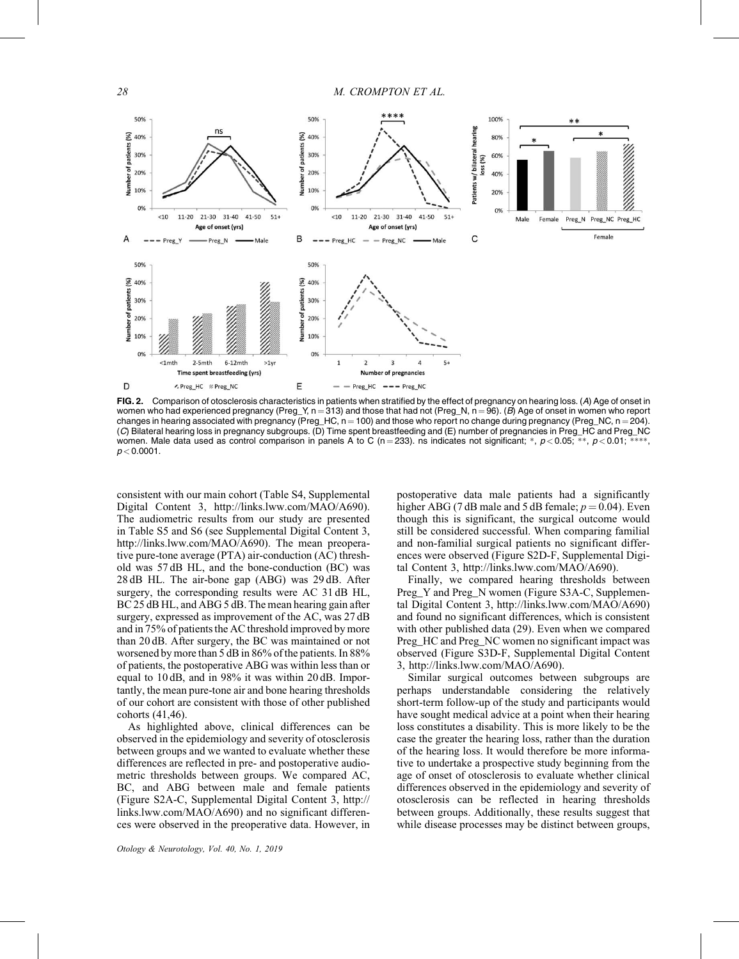

FIG. 2. Comparison of otosclerosis characteristics in patients when stratified by the effect of pregnancy on hearing loss. (A) Age of onset in women who had experienced pregnancy (Preg\_Y,  $n = 313$ ) and those that had not (Preg\_N,  $n = 96$ ). (B) Age of onset in women who report changes in hearing associated with pregnancy (Preg\_HC,  $n = 100$ ) and those who report no change during pregnancy (Preg\_NC,  $n = 204$ ). (C) Bilateral hearing loss in pregnancy subgroups. (D) Time spent breastfeeding and (E) number of pregnancies in Preg\_HC and Preg\_NC women. Male data used as control comparison in panels A to C (n = 233). ns indicates not significant; \*,  $p$  < 0.05; \*\*,  $p$  < 0.01; \*\* --,  $p < 0.0001$ .

consistent with our main cohort (Table S4, Supplemental Digital Content 3, [http://links.lww.com/MAO/A690\)](http://links.lww.com/MAO/A690). The audiometric results from our study are presented in Table S5 and S6 (see Supplemental Digital Content 3, [http://links.lww.com/MAO/A690\)](http://links.lww.com/MAO/A690). The mean preoperative pure-tone average (PTA) air-conduction (AC) threshold was 57 dB HL, and the bone-conduction (BC) was 28 dB HL. The air-bone gap (ABG) was 29 dB. After surgery, the corresponding results were AC 31 dB HL, BC 25 dB HL, and ABG 5 dB. The mean hearing gain after surgery, expressed as improvement of the AC, was 27 dB and in 75% of patients the AC threshold improved by more than 20 dB. After surgery, the BC was maintained or not worsened by more than 5 dB in 86% of the patients. In 88% of patients, the postoperative ABG was within less than or equal to 10 dB, and in 98% it was within 20 dB. Importantly, the mean pure-tone air and bone hearing thresholds of our cohort are consistent with those of other published cohorts (41,46).

As highlighted above, clinical differences can be observed in the epidemiology and severity of otosclerosis between groups and we wanted to evaluate whether these differences are reflected in pre- and postoperative audiometric thresholds between groups. We compared AC, BC, and ABG between male and female patients (Figure S2A-C, Supplemental Digital Content 3, [http://](http://links.lww.com/MAO/A690) [links.lww.com/MAO/A690\)](http://links.lww.com/MAO/A690) and no significant differences were observed in the preoperative data. However, in

postoperative data male patients had a significantly higher ABG (7 dB male and 5 dB female;  $p = 0.04$ ). Even though this is significant, the surgical outcome would still be considered successful. When comparing familial and non-familial surgical patients no significant differences were observed (Figure S2D-F, Supplemental Digital Content 3, [http://links.lww.com/MAO/A690\)](http://links.lww.com/MAO/A690).

Finally, we compared hearing thresholds between Preg\_Y and Preg\_N women (Figure S3A-C, Supplemental Digital Content 3,<http://links.lww.com/MAO/A690>) and found no significant differences, which is consistent with other published data (29). Even when we compared Preg\_HC and Preg\_NC women no significant impact was observed (Figure S3D-F, Supplemental Digital Content 3,<http://links.lww.com/MAO/A690>).

Similar surgical outcomes between subgroups are perhaps understandable considering the relatively short-term follow-up of the study and participants would have sought medical advice at a point when their hearing loss constitutes a disability. This is more likely to be the case the greater the hearing loss, rather than the duration of the hearing loss. It would therefore be more informative to undertake a prospective study beginning from the age of onset of otosclerosis to evaluate whether clinical differences observed in the epidemiology and severity of otosclerosis can be reflected in hearing thresholds between groups. Additionally, these results suggest that while disease processes may be distinct between groups,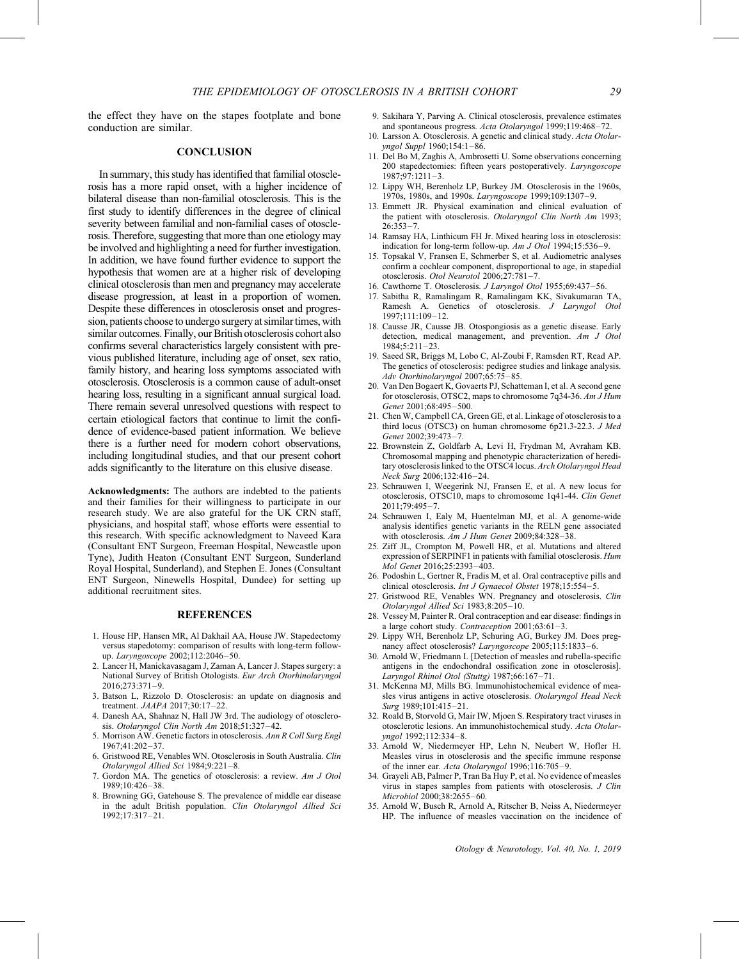the effect they have on the stapes footplate and bone conduction are similar.

## **CONCLUSION**

In summary, this study has identified that familial otosclerosis has a more rapid onset, with a higher incidence of bilateral disease than non-familial otosclerosis. This is the first study to identify differences in the degree of clinical severity between familial and non-familial cases of otosclerosis. Therefore, suggesting that more than one etiology may be involved and highlighting a need for further investigation. In addition, we have found further evidence to support the hypothesis that women are at a higher risk of developing clinical otosclerosis than men and pregnancy may accelerate disease progression, at least in a proportion of women. Despite these differences in otosclerosis onset and progression, patients choose to undergo surgery at similar times, with similar outcomes. Finally, our British otosclerosis cohort also confirms several characteristics largely consistent with previous published literature, including age of onset, sex ratio, family history, and hearing loss symptoms associated with otosclerosis. Otosclerosis is a common cause of adult-onset hearing loss, resulting in a significant annual surgical load. There remain several unresolved questions with respect to certain etiological factors that continue to limit the confidence of evidence-based patient information. We believe there is a further need for modern cohort observations, including longitudinal studies, and that our present cohort adds significantly to the literature on this elusive disease.

Acknowledgments: The authors are indebted to the patients and their families for their willingness to participate in our research study. We are also grateful for the UK CRN staff, physicians, and hospital staff, whose efforts were essential to this research. With specific acknowledgment to Naveed Kara (Consultant ENT Surgeon, Freeman Hospital, Newcastle upon Tyne), Judith Heaton (Consultant ENT Surgeon, Sunderland Royal Hospital, Sunderland), and Stephen E. Jones (Consultant ENT Surgeon, Ninewells Hospital, Dundee) for setting up additional recruitment sites.

## **REFERENCES**

- 1. House HP, Hansen MR, Al Dakhail AA, House JW. Stapedectomy versus stapedotomy: comparison of results with long-term followup. Laryngoscope 2002;112:2046–50.
- 2. Lancer H, Manickavasagam J, Zaman A, Lancer J. Stapes surgery: a National Survey of British Otologists. Eur Arch Otorhinolaryngol 2016;273:371–9.
- 3. Batson L, Rizzolo D. Otosclerosis: an update on diagnosis and treatment. JAAPA 2017;30:17–22.
- 4. Danesh AA, Shahnaz N, Hall JW 3rd. The audiology of otosclerosis. Otolaryngol Clin North Am 2018;51:327–42.
- 5. Morrison AW. Genetic factors in otosclerosis. Ann R Coll Surg Engl 1967;41:202–37.
- 6. Gristwood RE, Venables WN. Otosclerosis in South Australia. Clin Otolaryngol Allied Sci 1984;9:221–8.
- 7. Gordon MA. The genetics of otosclerosis: a review. Am J Otol 1989;10:426–38.
- 8. Browning GG, Gatehouse S. The prevalence of middle ear disease in the adult British population. Clin Otolaryngol Allied Sci 1992;17:317–21.
- 9. Sakihara Y, Parving A. Clinical otosclerosis, prevalence estimates and spontaneous progress. Acta Otolaryngol 1999;119:468–72.
- 10. Larsson A. Otosclerosis. A genetic and clinical study. Acta Otolaryngol Suppl 1960;154:1–86.
- 11. Del Bo M, Zaghis A, Ambrosetti U. Some observations concerning 200 stapedectomies: fifteen years postoperatively. Laryngoscope 1987;97:1211–3.
- 12. Lippy WH, Berenholz LP, Burkey JM. Otosclerosis in the 1960s, 1970s, 1980s, and 1990s. Laryngoscope 1999;109:1307–9.
- 13. Emmett JR. Physical examination and clinical evaluation of the patient with otosclerosis. Otolaryngol Clin North Am 1993;  $26.353 - 7$
- 14. Ramsay HA, Linthicum FH Jr. Mixed hearing loss in otosclerosis: indication for long-term follow-up.  $Am J O$ tol 1994;15:536-9.
- 15. Topsakal V, Fransen E, Schmerber S, et al. Audiometric analyses confirm a cochlear component, disproportional to age, in stapedial otosclerosis. Otol Neurotol 2006;27:781–7.
- 16. Cawthorne T. Otosclerosis. J Laryngol Otol 1955;69:437–56.
- 17. Sabitha R, Ramalingam R, Ramalingam KK, Sivakumaran TA, Ramesh A. Genetics of otosclerosis. J Laryngol Otol 1997;111:109–12.
- 18. Causse JR, Causse JB. Otospongiosis as a genetic disease. Early detection, medical management, and prevention. Am J Otol  $1984.5.211 - 23$
- 19. Saeed SR, Briggs M, Lobo C, Al-Zoubi F, Ramsden RT, Read AP. The genetics of otosclerosis: pedigree studies and linkage analysis. Adv Otorhinolaryngol 2007;65:75–85.
- 20. Van Den Bogaert K, Govaerts PJ, Schatteman I, et al. A second gene for otosclerosis, OTSC2, maps to chromosome 7q34-36. Am J Hum Genet 2001;68:495–500.
- 21. Chen W, Campbell CA, Green GE, et al. Linkage of otosclerosis to a third locus (OTSC3) on human chromosome 6p21.3-22.3. J Med Genet 2002;39:473–7.
- 22. Brownstein Z, Goldfarb A, Levi H, Frydman M, Avraham KB. Chromosomal mapping and phenotypic characterization of hereditary otosclerosis linked to the OTSC4 locus. Arch Otolaryngol Head Neck Surg 2006;132:416–24.
- 23. Schrauwen I, Weegerink NJ, Fransen E, et al. A new locus for otosclerosis, OTSC10, maps to chromosome 1q41-44. Clin Genet 2011;79:495–7.
- 24. Schrauwen I, Ealy M, Huentelman MJ, et al. A genome-wide analysis identifies genetic variants in the RELN gene associated with otosclerosis. Am J Hum Genet 2009;84:328–38.
- 25. Ziff JL, Crompton M, Powell HR, et al. Mutations and altered expression of SERPINF1 in patients with familial otosclerosis. Hum Mol Genet 2016;25:2393–403.
- 26. Podoshin L, Gertner R, Fradis M, et al. Oral contraceptive pills and clinical otosclerosis. Int J Gynaecol Obstet 1978;15:554-5.
- 27. Gristwood RE, Venables WN. Pregnancy and otosclerosis. Clin Otolaryngol Allied Sci 1983;8:205–10.
- 28. Vessey M, Painter R. Oral contraception and ear disease: findings in a large cohort study. Contraception 2001;63:61–3.
- 29. Lippy WH, Berenholz LP, Schuring AG, Burkey JM. Does pregnancy affect otosclerosis? Laryngoscope 2005;115:1833-6.
- 30. Arnold W, Friedmann I. [Detection of measles and rubella-specific antigens in the endochondral ossification zone in otosclerosis]. Laryngol Rhinol Otol (Stuttg) 1987;66:167–71.
- 31. McKenna MJ, Mills BG. Immunohistochemical evidence of measles virus antigens in active otosclerosis. Otolaryngol Head Neck Surg 1989;101:415–21.
- 32. Roald B, Storvold G, Mair IW, Mjoen S. Respiratory tract viruses in otosclerotic lesions. An immunohistochemical study. Acta Otolaryngol 1992;112:334–8.
- 33. Arnold W, Niedermeyer HP, Lehn N, Neubert W, Hofler H. Measles virus in otosclerosis and the specific immune response of the inner ear. Acta Otolaryngol 1996;116:705–9.
- 34. Grayeli AB, Palmer P, Tran Ba Huy P, et al. No evidence of measles virus in stapes samples from patients with otosclerosis. J Clin Microbiol 2000;38:2655–60.
- 35. Arnold W, Busch R, Arnold A, Ritscher B, Neiss A, Niedermeyer HP. The influence of measles vaccination on the incidence of